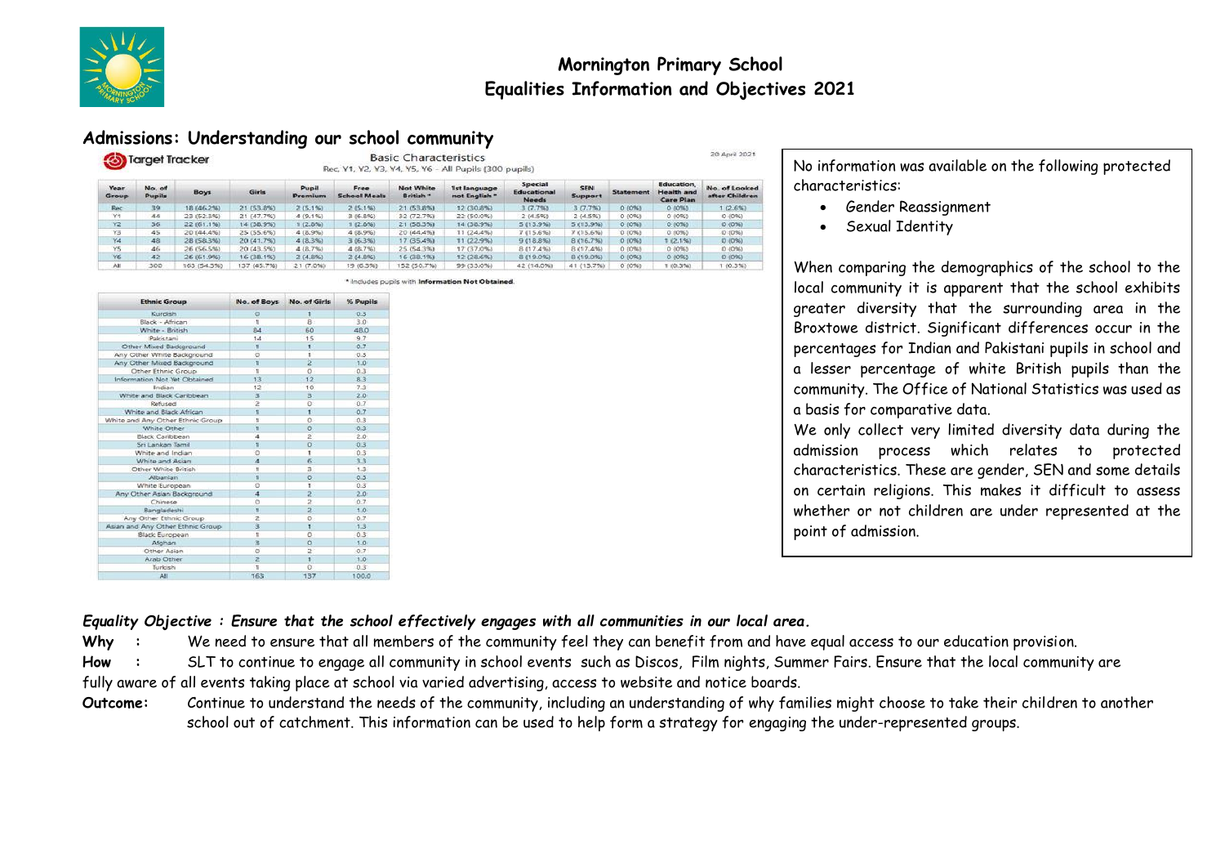

# **Mornington Primary School Equalities Information and Objectives 2021**

## **Admissions: Understanding our school community**

| Target Tracker |                  |             | <b>Basic Characteristics</b><br>Rec. Y1, Y2, Y3, Y4, Y5, Y6 - All Pupils (300 pupils) |                  |                             |                               |                               |                                 |                       |                  |                                                             | 20 April 2021                   |
|----------------|------------------|-------------|---------------------------------------------------------------------------------------|------------------|-----------------------------|-------------------------------|-------------------------------|---------------------------------|-----------------------|------------------|-------------------------------------------------------------|---------------------------------|
| Year.<br>Group | No. of<br>Pupils | <b>Boys</b> | Girls                                                                                 | Pupil<br>Premium | Free<br><b>School Meals</b> | <b>Not White</b><br>British * | 1st language<br>not English * | Special<br>Educational<br>Needs | <b>SEN</b><br>Support | <b>Statement</b> | <b>Education</b> .<br><b>Health</b> and<br><b>Care Plan</b> | No. of Looked<br>after Children |
| Rec            | 39               | 18 (46.2%)  | 21 (53.8%)                                                                            | 2(5.1%)          | 2(5.1%)                     | 21 (53.8%)                    | 12 (30.8%)                    | 3(7.7%)                         | 3(7.7%)               | O(096)           | 0.0056                                                      | 1(2.6%)                         |
| Y3             | 44               | 23 (52.3%)  | 21 (47.7%)                                                                            | 4(9.1%)          | 3(6.8%)                     | 32 (72.7%)                    | 22 (50.0%)                    | 2(4.5%)                         | 2(4.5%)               | 0.00563          | 0.00563                                                     | 0.00961                         |
| Y2             | 36               | 22 (61.1%)  | 14 (38.9%)                                                                            | (2.8%)           | 1(2.8%)                     | 21 (58.3%)                    | 14 (38.9%)                    | 5(13.9%)                        | 5 (13.9%)             | 0(0%)            | 0.00%                                                       | 0.0261                          |
| Y3             | 45               | 20 (44.4%)  | 25 (55.6%)                                                                            | 4 (8.9%)         | 4(8.9%)                     | 20 (44.4%)                    | 11 (24,4%)                    | 7 (15.6%)                       | 7(15.6%)              | 0.00%            | 0.00%                                                       | 0(0%)                           |
| Y4             | 48               | 28 (58.3%)  | 20 (41.7%)                                                                            | 4(8.3%)          | 3(6.3%)                     | 17 (35.4%)                    | 11 (22.9%)                    | 9(18.8%)                        | 8(16.7%)              | 0 (0%)           | 1(2.1%)                                                     | 0.00%                           |
| Y5             | 46               | 26 (56.5%). | 20 (43.5%)                                                                            | 4(8.7%)          | 4(8.7%)                     | 25 (54.3%)                    | 17 (37.0%)                    | 8 (17,4%)                       | 8 (17.4%)             | 0 (0%)           | 0.00563                                                     | 0(096)                          |
| Y6             | 42               | 26 (61.9%)  | 16 (38.1%)                                                                            | 2(4.8%)          | 2(4.8%)                     | 16 (38.1%)                    | 12 (28.6%)                    | 8 (19.0%)                       | 8 (19.0%)             | $0(0\%)$         | 0(0%)                                                       | 0.00961                         |
| All            | 300              | 163 (54.3%) | 137 (45.7%)                                                                           | 21(7.0%)         | 19 (6.3%)                   | 152 (50.7%)                   | 99 (33.0%)                    | 42 (14.0%)                      | 41 (13.7%)            | 0(056)           | (0.3%)                                                      | (0.35)                          |

\* Includes pupils with Information Not Obtained

| <b>Ethnic Group</b>              | No. of Boys    | No. of Girls   | % Pupils    |  |
|----------------------------------|----------------|----------------|-------------|--|
| Kurdish                          | Ð              |                | 0.3         |  |
| Black - African                  | ×.             | B              | 3.0         |  |
| White - British                  | 8d             | 60             | 48.0        |  |
| Pakistani                        | 1d             | 15             | 9.7         |  |
| Other Mixed Background           | х              | 1.             | 0.7         |  |
| Any Other White Background       | $\circ$        | 1              | 0.3         |  |
| Any Other Mixed Background       | ×              | $\overline{2}$ | 1.0         |  |
| Other Ethnic Group               | ×              | $\circ$        | 0.3         |  |
| Information Not Yet Obtained     | 13             | 12             | 83          |  |
| Indian                           | 12             | 10             | 7.3         |  |
| White and Black Caribbean        | $\exists$      | $\mathbf{R}$   | 2.0         |  |
| Refused                          | 2              | ö              | 0.7         |  |
| White and Black African          | x              | Ŧ.             | 0.7         |  |
| White and Any Other Ethnic Group | t              | o              | 0.3         |  |
| White Other                      | ٠              | ö              | 0.3         |  |
| Black Caribbean                  | $\overline{a}$ | $\overline{z}$ | 2.0         |  |
| Sri Lankan Tamil                 | ٠              | $\circ$        | 0.3         |  |
| White and Indian                 | o              | t              | 0.3         |  |
| White and Asian                  | a              | 6              | 3.3         |  |
| Other White British              | ۲              | $\overline{a}$ | 1.3         |  |
| Albanian                         | s              | o              | 0.3         |  |
| White European                   | $\circ$        | t.             | 0.3         |  |
| Any Other Asian Background       | 4              | $\overline{2}$ | 2.0         |  |
| Chinese                          | $\Omega$       | ż              | 0.7         |  |
| Bangladeshi                      | ٦              | ż              | 1.0         |  |
| Any Other Ethnic Group           | $\overline{2}$ | O.             | 0.7         |  |
| Asian and Any Other Ethnic Group | з              | ٠              | 1.3         |  |
| <b>Black European</b>            | ٦              | ö              | 0.3         |  |
| Afghan                           | 3              | ö              | 1.0         |  |
| Other Asian                      | o              | $\overline{z}$ | 0.7         |  |
| <b>Arab Other</b>                | $\overline{2}$ | ï              | 1.0         |  |
| Turkish                          | ŧ              | $\Omega$       | 03          |  |
| 8.11                             | K.C.T.         | 457            | <b>KODA</b> |  |

No information was available on the following protected characteristics:

- Gender Reassignment
- Sexual Identity

When comparing the demographics of the school to the local community it is apparent that the school exhibits greater diversity that the surrounding area in the Broxtowe district. Significant differences occur in the percentages for Indian and Pakistani pupils in school and a lesser percentage of white British pupils than the community. The Office of National Statistics was used as a basis for comparative data.

We only collect very limited diversity data during the admission process which relates to protected characteristics. These are gender, SEN and some details on certain religions. This makes it difficult to assess whether or not children are under represented at the point of admission.

### *Equality Objective : Ensure that the school effectively engages with all communities in our local area.*

Why : We need to ensure that all members of the community feel they can benefit from and have equal access to our education provision.

**How :** SLT to continue to engage all community in school events such as Discos, Film nights, Summer Fairs. Ensure that the local community are

fully aware of all events taking place at school via varied advertising, access to website and notice boards.

**Outcome:** Continue to understand the needs of the community, including an understanding of why families might choose to take their children to another school out of catchment. This information can be used to help form a strategy for engaging the under-represented groups.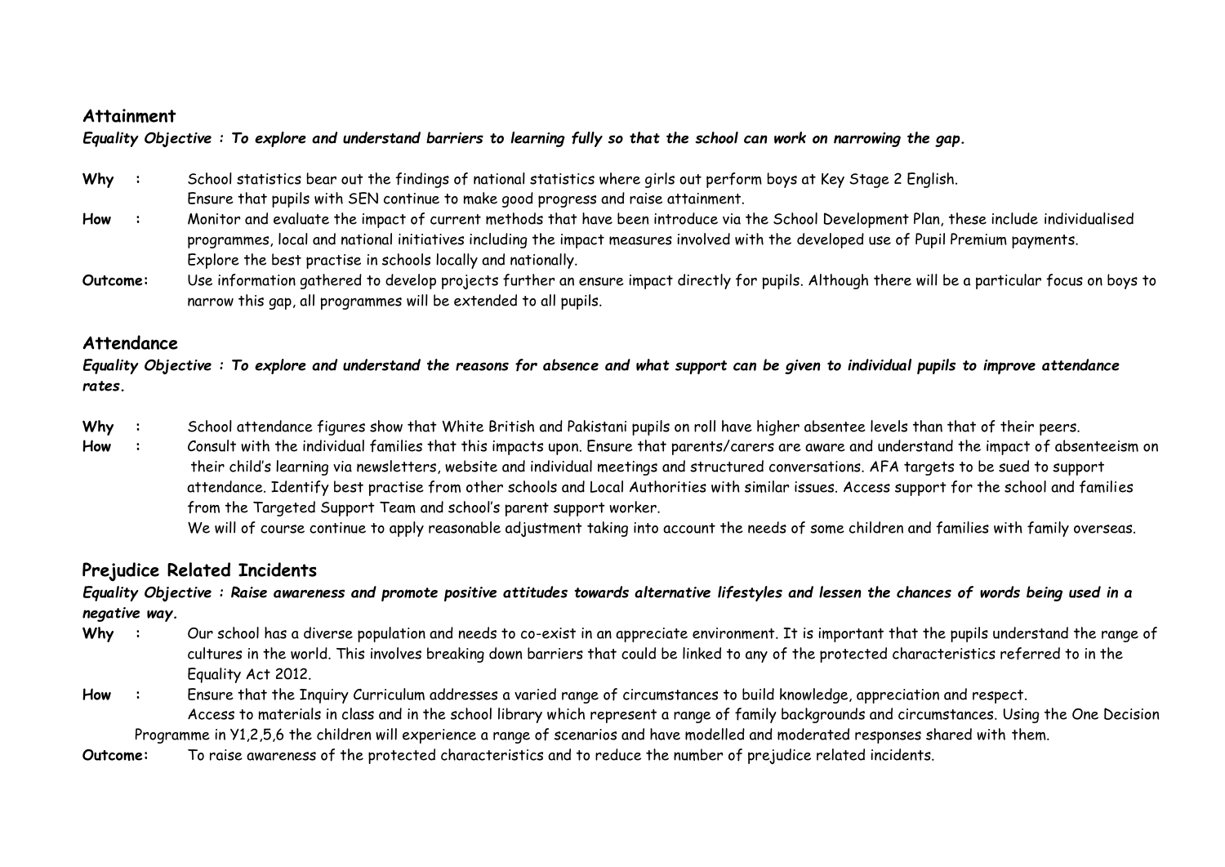### **Attainment**

*Equality Objective : To explore and understand barriers to learning fully so that the school can work on narrowing the gap.*

- **Why :** School statistics bear out the findings of national statistics where girls out perform boys at Key Stage 2 English. Ensure that pupils with SEN continue to make good progress and raise attainment.
- **How :** Monitor and evaluate the impact of current methods that have been introduce via the School Development Plan, these include individualised programmes, local and national initiatives including the impact measures involved with the developed use of Pupil Premium payments. Explore the best practise in schools locally and nationally.
- **Outcome:** Use information gathered to develop projects further an ensure impact directly for pupils. Although there will be a particular focus on boys to narrow this gap, all programmes will be extended to all pupils.

## **Attendance**

*Equality Objective : To explore and understand the reasons for absence and what support can be given to individual pupils to improve attendance rates.*

- Why : School attendance figures show that White British and Pakistani pupils on roll have higher absentee levels than that of their peers.
- How : Consult with the individual families that this impacts upon. Ensure that parents/carers are aware and understand the impact of absenteeism on their child's learning via newsletters, website and individual meetings and structured conversations. AFA targets to be sued to support attendance. Identify best practise from other schools and Local Authorities with similar issues. Access support for the school and families from the Targeted Support Team and school's parent support worker.

We will of course continue to apply reasonable adjustment taking into account the needs of some children and families with family overseas.

# **Prejudice Related Incidents**

### *Equality Objective : Raise awareness and promote positive attitudes towards alternative lifestyles and lessen the chances of words being used in a negative way.*

- Why : Our school has a diverse population and needs to co-exist in an appreciate environment. It is important that the pupils understand the range of cultures in the world. This involves breaking down barriers that could be linked to any of the protected characteristics referred to in the Equality Act 2012.
- **How :** Ensure that the Inquiry Curriculum addresses a varied range of circumstances to build knowledge, appreciation and respect. Access to materials in class and in the school library which represent a range of family backgrounds and circumstances. Using the One Decision

Programme in Y1,2,5,6 the children will experience a range of scenarios and have modelled and moderated responses shared with them.

**Outcome:** To raise awareness of the protected characteristics and to reduce the number of prejudice related incidents.